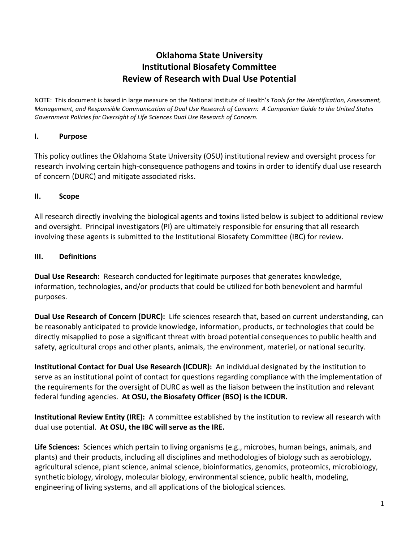# **Oklahoma State University Institutional Biosafety Committee Review of Research with Dual Use Potential**

NOTE: This document is based in large measure on the National Institute of Health's *Tools for the Identification, Assessment, Management, and Responsible Communication of Dual Use Research of Concern: A Companion Guide to the United States Government Policies for Oversight of Life Sciences Dual Use Research of Concern.* 

#### **I. Purpose**

This policy outlines the Oklahoma State University (OSU) institutional review and oversight process for research involving certain high-consequence pathogens and toxins in order to identify dual use research of concern (DURC) and mitigate associated risks.

#### **II. Scope**

All research directly involving the biological agents and toxins listed below is subject to additional review and oversight. Principal investigators (PI) are ultimately responsible for ensuring that all research involving these agents is submitted to the Institutional Biosafety Committee (IBC) for review.

#### **III. Definitions**

**Dual Use Research:** Research conducted for legitimate purposes that generates knowledge, information, technologies, and/or products that could be utilized for both benevolent and harmful purposes.

**Dual Use Research of Concern (DURC):** Life sciences research that, based on current understanding, can be reasonably anticipated to provide knowledge, information, products, or technologies that could be directly misapplied to pose a significant threat with broad potential consequences to public health and safety, agricultural crops and other plants, animals, the environment, materiel, or national security.

**Institutional Contact for Dual Use Research (ICDUR):** An individual designated by the institution to serve as an institutional point of contact for questions regarding compliance with the implementation of the requirements for the oversight of DURC as well as the liaison between the institution and relevant federal funding agencies. **At OSU, the Biosafety Officer (BSO) is the ICDUR.**

**Institutional Review Entity (IRE):** A committee established by the institution to review all research with dual use potential. **At OSU, the IBC will serve as the IRE.** 

**Life Sciences:** Sciences which pertain to living organisms (e.g., microbes, human beings, animals, and plants) and their products, including all disciplines and methodologies of biology such as aerobiology, agricultural science, plant science, animal science, bioinformatics, genomics, proteomics, microbiology, synthetic biology, virology, molecular biology, environmental science, public health, modeling, engineering of living systems, and all applications of the biological sciences.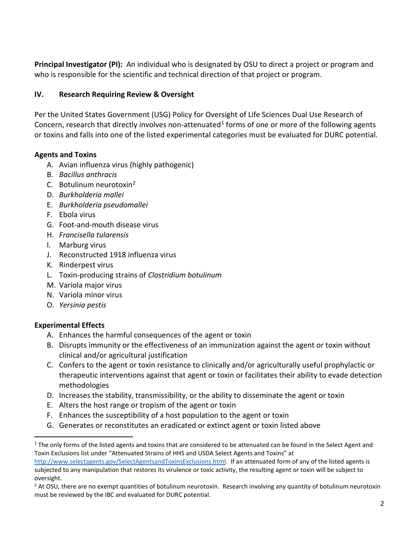**Principal Investigator (PI):** An individual who is designated by OSU to direct a project or program and who is responsible for the scientific and technical direction of that project or program.

### **IV. Research Requiring Review & Oversight**

Per the United States Government (USG) Policy for Oversight of Life Sciences Dual Use Research of Concern, research that directly involves non-attenuated<sup>[1](#page-1-0)</sup> forms of one or more of the following agents or toxins and falls into one of the listed experimental categories must be evaluated for DURC potential.

#### **Agents and Toxins**

- A. Avian influenza virus (highly pathogenic)
- B. *Bacillus anthracis*
- C. Botulinum neurotoxin[2](#page-1-1)
- D. *Burkholderia mallei*
- E. *Burkholderia pseudomallei*
- F. Ebola virus
- G. Foot-and-mouth disease virus
- H. *Francisella tularensis*
- I. Marburg virus
- J. Reconstructed 1918 influenza virus
- K. Rinderpest virus
- L. Toxin-producing strains of *Clostridium botulinum*
- M. Variola major virus
- N. Variola minor virus
- O. *Yersinia pestis*

### **Experimental Effects**

- A. Enhances the harmful consequences of the agent or toxin
- B. Disrupts immunity or the effectiveness of an immunization against the agent or toxin without clinical and/or agricultural justification
- C. Confers to the agent or toxin resistance to clinically and/or agriculturally useful prophylactic or therapeutic interventions against that agent or toxin or facilitates their ability to evade detection methodologies
- D. Increases the stability, transmissibility, or the ability to disseminate the agent or toxin
- E. Alters the host range or tropism of the agent or toxin
- F. Enhances the susceptibility of a host population to the agent or toxin
- G. Generates or reconstitutes an eradicated or extinct agent or toxin listed above

<span id="page-1-0"></span> $1$  The only forms of the listed agents and toxins that are considered to be attenuated can be found in the Select Agent and Toxin Exclusions list under "Attenuated Strains of HHS and USDA Select Agents and Toxins" at

[http://www.selectagents.gov/SelectAgentsandToxinsExclusions.html.](http://www.selectagents.gov/SelectAgentsandToxinsExclusions.html) If an attenuated form of any of the listed agents is subjected to any manipulation that restores its virulence or toxic activity, the resulting agent or toxin will be subject to oversight.

<span id="page-1-1"></span> $<sup>2</sup>$  At OSU, there are no exempt quantities of botulinum neurotoxin. Research involving any quantity of botulinum neurotoxin</sup> must be reviewed by the IBC and evaluated for DURC potential.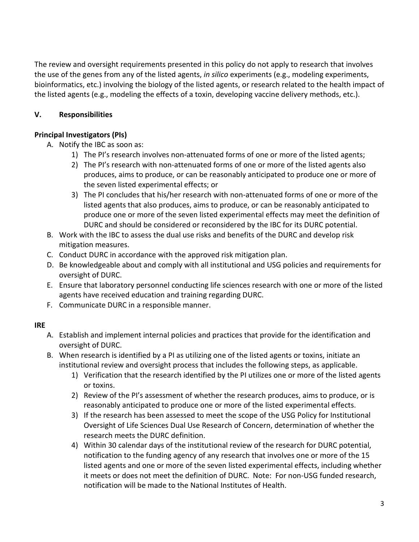The review and oversight requirements presented in this policy do not apply to research that involves the use of the genes from any of the listed agents, *in silico* experiments (e.g., modeling experiments, bioinformatics, etc.) involving the biology of the listed agents, or research related to the health impact of the listed agents (e.g., modeling the effects of a toxin, developing vaccine delivery methods, etc.).

## **V. Responsibilities**

### **Principal Investigators (PIs)**

- A. Notify the IBC as soon as:
	- 1) The PI's research involves non-attenuated forms of one or more of the listed agents;
	- 2) The PI's research with non-attenuated forms of one or more of the listed agents also produces, aims to produce, or can be reasonably anticipated to produce one or more of the seven listed experimental effects; or
	- 3) The PI concludes that his/her research with non-attenuated forms of one or more of the listed agents that also produces, aims to produce, or can be reasonably anticipated to produce one or more of the seven listed experimental effects may meet the definition of DURC and should be considered or reconsidered by the IBC for its DURC potential.
- B. Work with the IBC to assess the dual use risks and benefits of the DURC and develop risk mitigation measures.
- C. Conduct DURC in accordance with the approved risk mitigation plan.
- D. Be knowledgeable about and comply with all institutional and USG policies and requirements for oversight of DURC.
- E. Ensure that laboratory personnel conducting life sciences research with one or more of the listed agents have received education and training regarding DURC.
- F. Communicate DURC in a responsible manner.

### **IRE**

- A. Establish and implement internal policies and practices that provide for the identification and oversight of DURC.
- B. When research is identified by a PI as utilizing one of the listed agents or toxins, initiate an institutional review and oversight process that includes the following steps, as applicable.
	- 1) Verification that the research identified by the PI utilizes one or more of the listed agents or toxins.
	- 2) Review of the PI's assessment of whether the research produces, aims to produce, or is reasonably anticipated to produce one or more of the listed experimental effects.
	- 3) If the research has been assessed to meet the scope of the USG Policy for Institutional Oversight of Life Sciences Dual Use Research of Concern, determination of whether the research meets the DURC definition.
	- 4) Within 30 calendar days of the institutional review of the research for DURC potential, notification to the funding agency of any research that involves one or more of the 15 listed agents and one or more of the seven listed experimental effects, including whether it meets or does not meet the definition of DURC. Note: For non-USG funded research, notification will be made to the National Institutes of Health.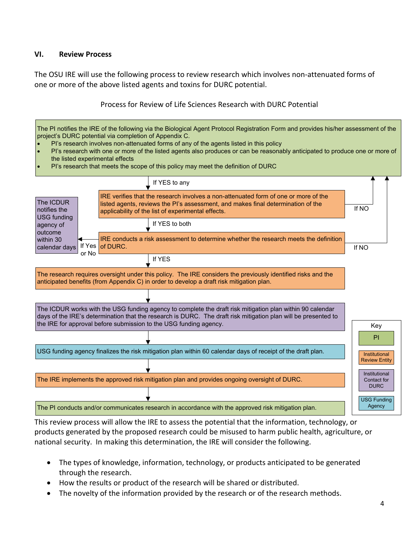#### **VI. Review Process**

The OSU IRE will use the following process to review research which involves non-attenuated forms of one or more of the above listed agents and toxins for DURC potential.

#### Process for Review of Life Sciences Research with DURC Potential

| The PI notifies the IRE of the following via the Biological Agent Protocol Registration Form and provides his/her assessment of the<br>project's DURC potential via completion of Appendix C.<br>PI's research involves non-attenuated forms of any of the agents listed in this policy<br>PI's research with one or more of the listed agents also produces or can be reasonably anticipated to produce one or more of<br>the listed experimental effects<br>PI's research that meets the scope of this policy may meet the definition of DURC |                 |                                                                                                                                                                                                                               |                                              |  |
|-------------------------------------------------------------------------------------------------------------------------------------------------------------------------------------------------------------------------------------------------------------------------------------------------------------------------------------------------------------------------------------------------------------------------------------------------------------------------------------------------------------------------------------------------|-----------------|-------------------------------------------------------------------------------------------------------------------------------------------------------------------------------------------------------------------------------|----------------------------------------------|--|
|                                                                                                                                                                                                                                                                                                                                                                                                                                                                                                                                                 |                 | If YES to any                                                                                                                                                                                                                 |                                              |  |
| The ICDUR<br>notifies the<br><b>USG funding</b><br>agency of<br>outcome<br>within 30<br>calendar days<br>or No                                                                                                                                                                                                                                                                                                                                                                                                                                  |                 | IRE verifies that the research involves a non-attenuated form of one or more of the<br>listed agents, reviews the PI's assessment, and makes final determination of the<br>applicability of the list of experimental effects. | If NO                                        |  |
|                                                                                                                                                                                                                                                                                                                                                                                                                                                                                                                                                 |                 | If YES to both                                                                                                                                                                                                                |                                              |  |
|                                                                                                                                                                                                                                                                                                                                                                                                                                                                                                                                                 | If Yes of DURC. | IRE conducts a risk assessment to determine whether the research meets the definition                                                                                                                                         | If NO                                        |  |
|                                                                                                                                                                                                                                                                                                                                                                                                                                                                                                                                                 |                 | If YES                                                                                                                                                                                                                        |                                              |  |
| The research requires oversight under this policy. The IRE considers the previously identified risks and the<br>anticipated benefits (from Appendix C) in order to develop a draft risk mitigation plan.                                                                                                                                                                                                                                                                                                                                        |                 |                                                                                                                                                                                                                               |                                              |  |
|                                                                                                                                                                                                                                                                                                                                                                                                                                                                                                                                                 |                 |                                                                                                                                                                                                                               |                                              |  |
| The ICDUR works with the USG funding agency to complete the draft risk mitigation plan within 90 calendar<br>days of the IRE's determination that the research is DURC. The draft risk mitigation plan will be presented to<br>the IRE for approval before submission to the USG funding agency.                                                                                                                                                                                                                                                |                 |                                                                                                                                                                                                                               | Key                                          |  |
|                                                                                                                                                                                                                                                                                                                                                                                                                                                                                                                                                 |                 |                                                                                                                                                                                                                               | PI                                           |  |
| USG funding agency finalizes the risk mitigation plan within 60 calendar days of receipt of the draft plan.                                                                                                                                                                                                                                                                                                                                                                                                                                     |                 |                                                                                                                                                                                                                               | <b>Institutional</b><br><b>Review Entity</b> |  |
|                                                                                                                                                                                                                                                                                                                                                                                                                                                                                                                                                 |                 | The IRE implements the approved risk mitigation plan and provides ongoing oversight of DURC.                                                                                                                                  | Institutional<br>Contact for<br><b>DURC</b>  |  |
|                                                                                                                                                                                                                                                                                                                                                                                                                                                                                                                                                 |                 | The PI conducts and/or communicates research in accordance with the approved risk mitigation plan.                                                                                                                            | <b>USG Funding</b><br>Agency                 |  |

This review process will allow the IRE to assess the potential that the information, technology, or products generated by the proposed research could be misused to harm public health, agriculture, or national security. In making this determination, the IRE will consider the following.

- The types of knowledge, information, technology, or products anticipated to be generated through the research.
- How the results or product of the research will be shared or distributed.
- The novelty of the information provided by the research or of the research methods.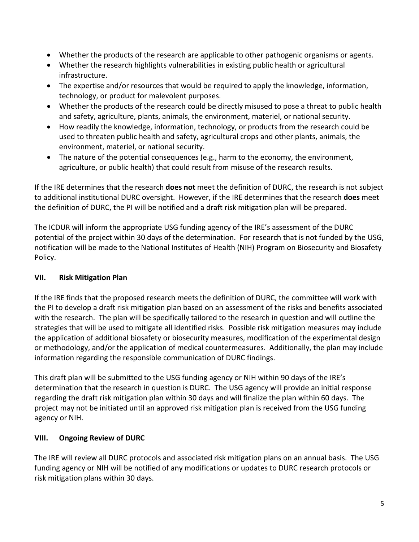- Whether the products of the research are applicable to other pathogenic organisms or agents.
- Whether the research highlights vulnerabilities in existing public health or agricultural infrastructure.
- The expertise and/or resources that would be required to apply the knowledge, information, technology, or product for malevolent purposes.
- Whether the products of the research could be directly misused to pose a threat to public health and safety, agriculture, plants, animals, the environment, materiel, or national security.
- How readily the knowledge, information, technology, or products from the research could be used to threaten public health and safety, agricultural crops and other plants, animals, the environment, materiel, or national security.
- The nature of the potential consequences (e.g., harm to the economy, the environment, agriculture, or public health) that could result from misuse of the research results.

If the IRE determines that the research **does not** meet the definition of DURC, the research is not subject to additional institutional DURC oversight. However, if the IRE determines that the research **does** meet the definition of DURC, the PI will be notified and a draft risk mitigation plan will be prepared.

The ICDUR will inform the appropriate USG funding agency of the IRE's assessment of the DURC potential of the project within 30 days of the determination. For research that is not funded by the USG, notification will be made to the National Institutes of Health (NIH) Program on Biosecurity and Biosafety Policy.

### **VII. Risk Mitigation Plan**

If the IRE finds that the proposed research meets the definition of DURC, the committee will work with the PI to develop a draft risk mitigation plan based on an assessment of the risks and benefits associated with the research. The plan will be specifically tailored to the research in question and will outline the strategies that will be used to mitigate all identified risks. Possible risk mitigation measures may include the application of additional biosafety or biosecurity measures, modification of the experimental design or methodology, and/or the application of medical countermeasures. Additionally, the plan may include information regarding the responsible communication of DURC findings.

This draft plan will be submitted to the USG funding agency or NIH within 90 days of the IRE's determination that the research in question is DURC. The USG agency will provide an initial response regarding the draft risk mitigation plan within 30 days and will finalize the plan within 60 days. The project may not be initiated until an approved risk mitigation plan is received from the USG funding agency or NIH.

# **VIII. Ongoing Review of DURC**

The IRE will review all DURC protocols and associated risk mitigation plans on an annual basis. The USG funding agency or NIH will be notified of any modifications or updates to DURC research protocols or risk mitigation plans within 30 days.